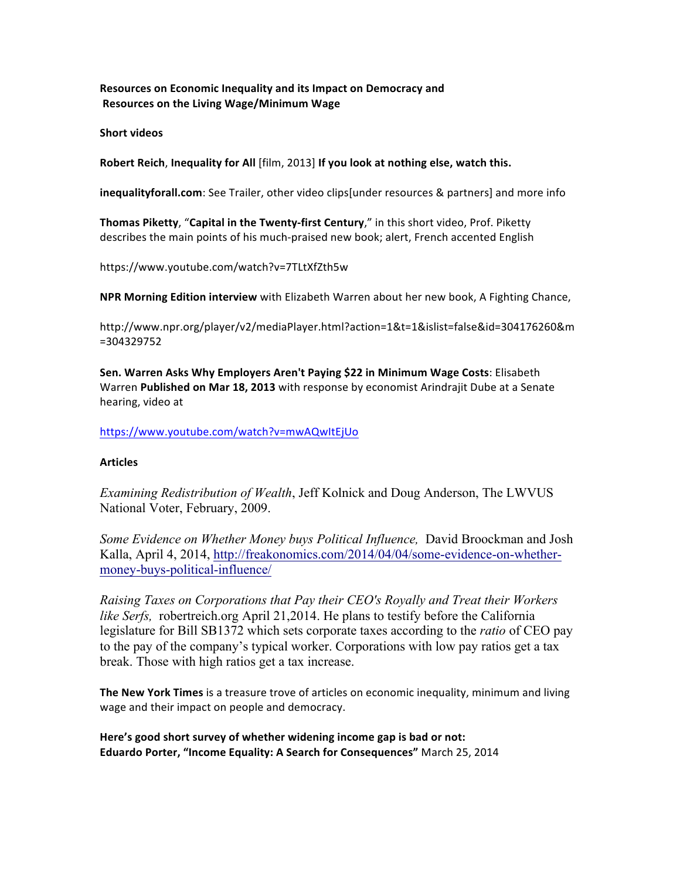**Resources on Economic Inequality and its Impact on Democracy and** Resources on the Living Wage/Minimum Wage

**Short videos** 

Robert Reich, Inequality for All [film, 2013] If you look at nothing else, watch this.

**inequalityforall.com**: See Trailer, other video clips under resources & partners] and more info

**Thomas Piketty, "Capital in the Twenty-first Century,"** in this short video, Prof. Piketty describes the main points of his much-praised new book; alert, French accented English

https://www.youtube.com/watch?v=7TLtXfZth5w

**NPR Morning Edition interview** with Elizabeth Warren about her new book, A Fighting Chance,

http://www.npr.org/player/v2/mediaPlayer.html?action=1&t=1&islist=false&id=304176260&m =304329752

Sen. Warren Asks Why Employers Aren't Paying \$22 in Minimum Wage Costs: Elisabeth Warren Published on Mar 18, 2013 with response by economist Arindrajit Dube at a Senate hearing, video at

https://www.youtube.com/watch?v=mwAQwItEjUo

#### **Articles**

*Examining Redistribution of Wealth*, Jeff Kolnick and Doug Anderson, The LWVUS National Voter, February, 2009.

*Some Evidence on Whether Money buys Political Influence,* David Broockman and Josh Kalla, April 4, 2014, http://freakonomics.com/2014/04/04/some-evidence-on-whethermoney-buys-political-influence/

*Raising Taxes on Corporations that Pay their CEO's Royally and Treat their Workers like Serfs,* robertreich.org April 21,2014. He plans to testify before the California legislature for Bill SB1372 which sets corporate taxes according to the *ratio* of CEO pay to the pay of the company's typical worker. Corporations with low pay ratios get a tax break. Those with high ratios get a tax increase.

**The New York Times** is a treasure trove of articles on economic inequality, minimum and living wage and their impact on people and democracy.

Here's good short survey of whether widening income gap is bad or not: **Eduardo Porter, "Income Equality: A Search for Consequences"** March 25, 2014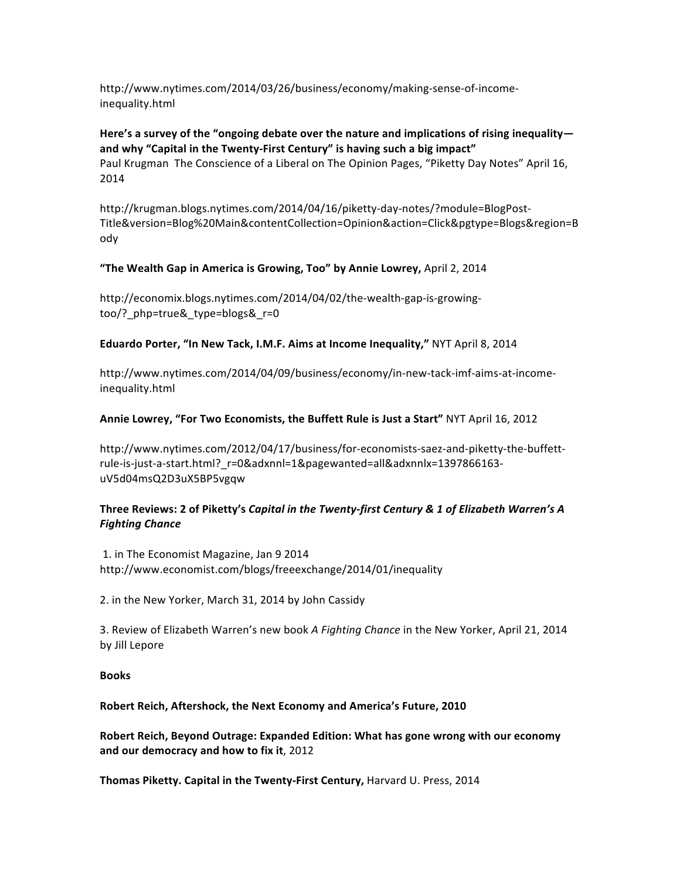http://www.nytimes.com/2014/03/26/business/economy/making-sense-of-incomeinequality.html

## Here's a survey of the "ongoing debate over the nature and implications of rising inequality and why "Capital in the Twenty-First Century" is having such a big impact" Paul Krugman The Conscience of a Liberal on The Opinion Pages, "Piketty Day Notes" April 16, 2014

http://krugman.blogs.nytimes.com/2014/04/16/piketty-day-notes/?module=BlogPost-Title&version=Blog%20Main&contentCollection=Opinion&action=Click&pgtype=Blogs&region=B ody

# "The Wealth Gap in America is Growing, Too" by Annie Lowrey, April 2, 2014

http://economix.blogs.nytimes.com/2014/04/02/the-wealth-gap-is-growingtoo/? php=true& type=blogs& r=0

### **Eduardo Porter, "In New Tack, I.M.F. Aims at Income Inequality," NYT April 8, 2014**

http://www.nytimes.com/2014/04/09/business/economy/in-new-tack-imf-aims-at-incomeinequality.html

### Annie Lowrey, "For Two Economists, the Buffett Rule is Just a Start" NYT April 16, 2012

http://www.nytimes.com/2012/04/17/business/for-economists-saez-and-piketty-the-buffettrule-is-just-a-start.html?\_r=0&adxnnl=1&pagewanted=all&adxnnlx=1397866163uV5d04msQ2D3uX5BP5vgqw

# Three Reviews: 2 of Piketty's Capital in the Twenty-first Century & 1 of Elizabeth Warren's A *Fighting'Chance*

1. in The Economist Magazine, Jan 9 2014 http://www.economist.com/blogs/freeexchange/2014/01/inequality

2. in the New Yorker, March 31, 2014 by John Cassidy

3. Review of Elizabeth Warren's new book A Fighting Chance in the New Yorker, April 21, 2014 by Jill Lepore

### **Books**

### **Robert Reich, Aftershock, the Next Economy and America's Future, 2010**

Robert Reich, Beyond Outrage: Expanded Edition: What has gone wrong with our economy and our democracy and how to fix it, 2012

Thomas Piketty. Capital in the Twenty-First Century, Harvard U. Press, 2014